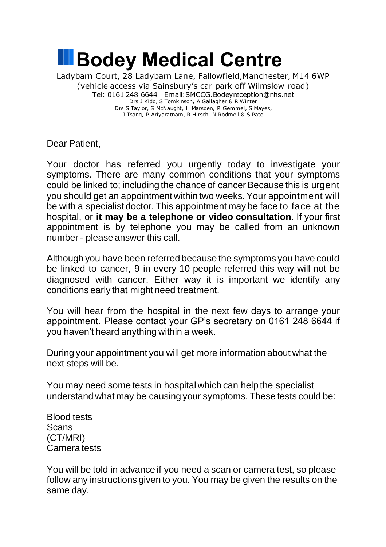

Dear Patient,

Your doctor has referred you urgently today to investigate your symptoms. There are many common conditions that your symptoms could be linked to; including the chance of cancer Because this is urgent you should get an appointment within two weeks. Your appointment will be with a specialist doctor. This appointment may be face to face at the hospital, or **it may be a telephone or video consultation**. If your first appointment is by telephone you may be called from an unknown number - please answer this call.

Although you have been referred because the symptoms you have could be linked to cancer, 9 in every 10 people referred this way will not be diagnosed with cancer. Either way it is important we identify any conditions early that might need treatment.

You will hear from the hospital in the next few days to arrange your appointment. Please contact your GP's secretary on 0161 248 6644 if you haven't heard anything within a week.

During your appointment you will get more information about what the next steps will be.

You may need some tests in hospital which can help the specialist understand what may be causing your symptoms. These tests could be:

Blood tests **Scans** (CT/MRI) Camera tests

You will be told in advance if you need a scan or camera test, so please follow any instructions given to you. You may be given the results on the same day.